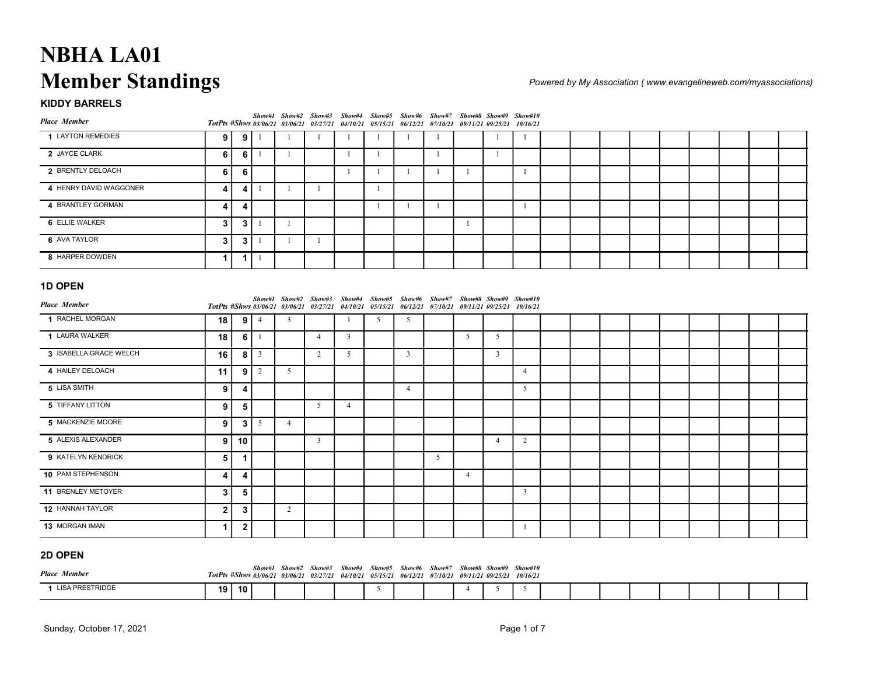| 9            | 9       |                                                                |                                                                                                                                                         |                     | -1                                                               | -1                                                                                                       |             | -1                                             |    | - 1 | -1                  |                                  |                                                                                                                                                                                                                                                                                                  |                |  |                |                                                                  |
|--------------|---------|----------------------------------------------------------------|---------------------------------------------------------------------------------------------------------------------------------------------------------|---------------------|------------------------------------------------------------------|----------------------------------------------------------------------------------------------------------|-------------|------------------------------------------------|----|-----|---------------------|----------------------------------|--------------------------------------------------------------------------------------------------------------------------------------------------------------------------------------------------------------------------------------------------------------------------------------------------|----------------|--|----------------|------------------------------------------------------------------|
| 6            |         | - 1                                                            | $\mathbf{1}$                                                                                                                                            |                     | -1                                                               | $\mathbf{1}$                                                                                             |             | -1                                             |    | - 1 |                     |                                  |                                                                                                                                                                                                                                                                                                  |                |  |                |                                                                  |
| 6            | $\bf 6$ |                                                                |                                                                                                                                                         |                     | -1                                                               | $\mathbf{1}$                                                                                             | -1          | -1                                             | -1 |     | -1                  |                                  |                                                                                                                                                                                                                                                                                                  |                |  |                |                                                                  |
| 4            |         |                                                                | - 1                                                                                                                                                     |                     |                                                                  | -1                                                                                                       |             |                                                |    |     |                     |                                  |                                                                                                                                                                                                                                                                                                  |                |  |                |                                                                  |
| 4            | 4       |                                                                |                                                                                                                                                         |                     |                                                                  | $\mathbf{1}$                                                                                             | - 1         | $\overline{1}$                                 |    |     | -1                  |                                  |                                                                                                                                                                                                                                                                                                  |                |  |                |                                                                  |
| $\mathbf{3}$ |         |                                                                | -1                                                                                                                                                      |                     |                                                                  |                                                                                                          |             |                                                | -1 |     |                     |                                  |                                                                                                                                                                                                                                                                                                  |                |  |                |                                                                  |
| $\mathbf{3}$ |         | -1                                                             | $\overline{1}$                                                                                                                                          | -1                  |                                                                  |                                                                                                          |             |                                                |    |     |                     |                                  |                                                                                                                                                                                                                                                                                                  |                |  |                |                                                                  |
| $\mathbf{1}$ |         | -1                                                             |                                                                                                                                                         |                     |                                                                  |                                                                                                          |             |                                                |    |     |                     |                                  |                                                                                                                                                                                                                                                                                                  |                |  |                |                                                                  |
|              |         |                                                                |                                                                                                                                                         |                     |                                                                  |                                                                                                          |             |                                                |    |     |                     |                                  |                                                                                                                                                                                                                                                                                                  |                |  |                |                                                                  |
|              |         |                                                                |                                                                                                                                                         |                     |                                                                  |                                                                                                          |             |                                                |    |     |                     |                                  |                                                                                                                                                                                                                                                                                                  |                |  |                |                                                                  |
|              |         |                                                                |                                                                                                                                                         |                     | -1                                                               |                                                                                                          |             |                                                |    |     |                     |                                  |                                                                                                                                                                                                                                                                                                  |                |  |                |                                                                  |
|              |         |                                                                |                                                                                                                                                         |                     |                                                                  |                                                                                                          |             |                                                |    |     |                     |                                  |                                                                                                                                                                                                                                                                                                  |                |  |                |                                                                  |
|              |         |                                                                |                                                                                                                                                         |                     |                                                                  |                                                                                                          |             |                                                |    |     |                     |                                  |                                                                                                                                                                                                                                                                                                  |                |  |                |                                                                  |
|              |         |                                                                |                                                                                                                                                         |                     |                                                                  |                                                                                                          |             |                                                |    |     |                     |                                  |                                                                                                                                                                                                                                                                                                  |                |  |                |                                                                  |
|              |         |                                                                |                                                                                                                                                         |                     |                                                                  |                                                                                                          |             |                                                |    |     |                     |                                  |                                                                                                                                                                                                                                                                                                  |                |  |                |                                                                  |
|              |         |                                                                |                                                                                                                                                         |                     |                                                                  |                                                                                                          |             |                                                |    |     |                     |                                  |                                                                                                                                                                                                                                                                                                  |                |  |                |                                                                  |
|              |         |                                                                | $\overline{4}$                                                                                                                                          |                     |                                                                  |                                                                                                          |             |                                                |    |     |                     |                                  |                                                                                                                                                                                                                                                                                                  |                |  |                |                                                                  |
|              |         |                                                                |                                                                                                                                                         |                     |                                                                  |                                                                                                          |             |                                                |    |     |                     |                                  |                                                                                                                                                                                                                                                                                                  |                |  |                |                                                                  |
|              |         | <b>Member Standings</b><br>18<br>18<br>16<br>11<br>9<br>9<br>9 | 6<br>4<br>3 <sup>1</sup><br>3 <sup>1</sup><br>$-1$<br>$9 \mid 4$<br>6 <br>- 1<br>$8 \mid 3$<br>$9 \mid 2$<br>4<br>$5\phantom{.0}$<br>$3 \mid 5$<br>9 10 | 3<br>5 <sup>5</sup> | $\overline{4}$<br>2<br>5 <sup>5</sup><br>$\overline{\mathbf{3}}$ | Show#1 Show#2 Show#3<br>TotPts #Shws 03/06/21 03/06/21 03/27/21<br>$\overline{3}$<br>5<br>$\overline{4}$ | Show#4<br>5 | 5<br>$\overline{\mathbf{3}}$<br>$\overline{4}$ |    | 5   | 5<br>$\overline{3}$ | $\overline{4}$<br>5 <sup>5</sup> | Show#5 Show#6 Show#7 Show#8 Show#9 Show#10<br>04/10/21 05/15/21 06/12/21 07/10/21 09/11/21 09/25/21 10/16/21<br>Show#1 Show#2 Show#3 Show#4 Show#5 Show#6 Show#7 Show#8 Show#9 Show#10<br>TotPts #Shws 03/06/21 03/06/21 03/27/21 04/10/21 05/15/21 06/12/21 07/10/21 09/11/21 09/25/21 10/16/21 | $\overline{4}$ |  | $\overline{2}$ | Powered by My Association (www.evangelineweb.com/myassociations) |

| <b>Place Member</b>                      |              |                         |              | Show#1 Show#2 Show#3 Show#4 Show#5 Show#6 Show#7 Show#8 Show#9 Show#10<br>TotPts #Shws 03/06/21 03/06/21 03/27/21 04/10/21 05/15/21 06/12/21 07/10/21 09/11/21 09/25/21 10/16/21 |                |                |              |                         |    |                |                |                 |  |  |  |  |  |
|------------------------------------------|--------------|-------------------------|--------------|----------------------------------------------------------------------------------------------------------------------------------------------------------------------------------|----------------|----------------|--------------|-------------------------|----|----------------|----------------|-----------------|--|--|--|--|--|
| 1 LAYTON REMEDIES                        | 9            | -9 I                    |              | -1                                                                                                                                                                               | -1             | -1             | $\mathbf{1}$ | -1                      | -1 |                | -1             | $\mathbf{1}$    |  |  |  |  |  |
| 2 JAYCE CLARK                            | 6            | 6                       | $\mathbf{1}$ | -1                                                                                                                                                                               |                | -1             | $\mathbf{1}$ |                         | -1 |                | - 1            |                 |  |  |  |  |  |
| 2 BRENTLY DELOACH                        | 6            | 6                       |              |                                                                                                                                                                                  |                | -1             | $\mathbf{1}$ | -1                      | -1 | -1             |                | $\mathbf{1}$    |  |  |  |  |  |
| 4 HENRY DAVID WAGGONER                   | 4            | 4                       |              | -1                                                                                                                                                                               |                |                | -1           |                         |    |                |                |                 |  |  |  |  |  |
| 4 BRANTLEY GORMAN                        | 4            | 4                       |              |                                                                                                                                                                                  |                |                | -1           | -1                      | -1 |                |                | $\overline{1}$  |  |  |  |  |  |
| 6 ELLIE WALKER                           | $\mathbf{3}$ | 3                       | $-1$         | $\mathbf{1}$                                                                                                                                                                     |                |                |              |                         |    | -1             |                |                 |  |  |  |  |  |
| 6 AVA TAYLOR                             | $\mathbf{3}$ | 3                       | - 1          | -1                                                                                                                                                                               | -1             |                |              |                         |    |                |                |                 |  |  |  |  |  |
| 8 HARPER DOWDEN                          | $\mathbf{1}$ | 1                       | - 1          |                                                                                                                                                                                  |                |                |              |                         |    |                |                |                 |  |  |  |  |  |
| <b>1D OPEN</b><br><b>Place Member</b>    |              |                         |              | Show#1 Show#2 Show#3 Show#4 Show#5 Show#6 Show#7 Show#8 Show#9 Show#10<br>TotPts #Shws 03/06/21 03/06/21 03/27/21 04/10/21 05/15/21 06/12/21 07/10/21 09/11/21 09/25/21 10/16/21 |                |                |              |                         |    |                |                |                 |  |  |  |  |  |
| 1 RACHEL MORGAN                          | 18           |                         | $9 \mid 4$   | $\mathbf{3}$                                                                                                                                                                     |                | -1             | 5            | 5                       |    |                |                |                 |  |  |  |  |  |
| 1 LAURA WALKER                           | 18           |                         | $6 \mid 1$   |                                                                                                                                                                                  | $\overline{4}$ | $\overline{3}$ |              |                         |    | 5              | 5              |                 |  |  |  |  |  |
| 3 ISABELLA GRACE WELCH                   | 16           |                         | $8 \mid 3$   |                                                                                                                                                                                  | 2              | 5              |              | $\overline{\mathbf{3}}$ |    |                | $\overline{3}$ |                 |  |  |  |  |  |
| 4 HAILEY DELOACH                         | 11           |                         | $9 \mid 2$   | $5\overline{)}$                                                                                                                                                                  |                |                |              |                         |    |                |                | $\overline{4}$  |  |  |  |  |  |
| 5 LISA SMITH                             | 9            | 4                       |              |                                                                                                                                                                                  |                |                |              | $\overline{4}$          |    |                |                | $5\overline{)}$ |  |  |  |  |  |
| 5 TIFFANY LITTON                         | 9            | $\overline{\mathbf{5}}$ |              |                                                                                                                                                                                  | 5              | $\overline{4}$ |              |                         |    |                |                |                 |  |  |  |  |  |
| 5 MACKENZIE MOORE                        | 9            | 3                       | 5            | $\overline{4}$                                                                                                                                                                   |                |                |              |                         |    |                |                |                 |  |  |  |  |  |
| 5 ALEXIS ALEXANDER                       | 9            | 10                      |              |                                                                                                                                                                                  | $\overline{3}$ |                |              |                         |    |                | $\overline{4}$ | $\overline{2}$  |  |  |  |  |  |
| 9 KATELYN KENDRICK                       | 5            | $\mathbf{1}$            |              |                                                                                                                                                                                  |                |                |              |                         | 5  |                |                |                 |  |  |  |  |  |
| 10 PAM STEPHENSON                        | 4            | 4                       |              |                                                                                                                                                                                  |                |                |              |                         |    | $\overline{4}$ |                |                 |  |  |  |  |  |
| 11 BRENLEY METOYER                       | $\mathbf{3}$ | $\overline{\mathbf{5}}$ |              |                                                                                                                                                                                  |                |                |              |                         |    |                |                | $\mathbf{3}$    |  |  |  |  |  |
| 12 HANNAH TAYLOR                         | $\mathbf{2}$ | $\mathbf{3}$            |              | $\overline{2}$                                                                                                                                                                   |                |                |              |                         |    |                |                |                 |  |  |  |  |  |
| 13 MORGAN IMAN                           | $\mathbf{1}$ | $\mathbf{2}$            |              |                                                                                                                                                                                  |                |                |              |                         |    |                |                | -1              |  |  |  |  |  |
| 2D OPEN                                  |              |                         |              | Show#1 Show#2 Show#3 Show#4 Show#5 Show#6 Show#7 Show#8 Show#9 Show#10                                                                                                           |                |                |              |                         |    |                |                |                 |  |  |  |  |  |
| <b>Place Member</b><br>1 LISA PRESTRIDGE |              |                         |              | TotPts #Shws 03/06/21 03/06/21 03/27/21 04/10/21 05/15/21 06/12/21 07/10/21 09/11/21 09/25/21 10/16/21                                                                           |                |                |              |                         |    |                |                |                 |  |  |  |  |  |
|                                          |              | 19 10                   |              |                                                                                                                                                                                  |                |                | 5            |                         |    | -4             | 5              | 5               |  |  |  |  |  |

| 2D OPEN             |      |    |  |                                                                                                                                                                                  |  |  |  |  |  |  |  |  |
|---------------------|------|----|--|----------------------------------------------------------------------------------------------------------------------------------------------------------------------------------|--|--|--|--|--|--|--|--|
| <b>Place Member</b> |      |    |  | Show#1 Show#2 Show#3 Show#4 Show#5 Show#6 Show#7 Show#8 Show#9 Show#10<br>TotPts #Shws 03/06/21 03/06/21 03/27/21 04/10/21 05/15/21 06/12/21 07/10/21 09/11/21 09/25/21 10/16/21 |  |  |  |  |  |  |  |  |
| 1 LISA PRESTRIDGE   | 19 I | 10 |  |                                                                                                                                                                                  |  |  |  |  |  |  |  |  |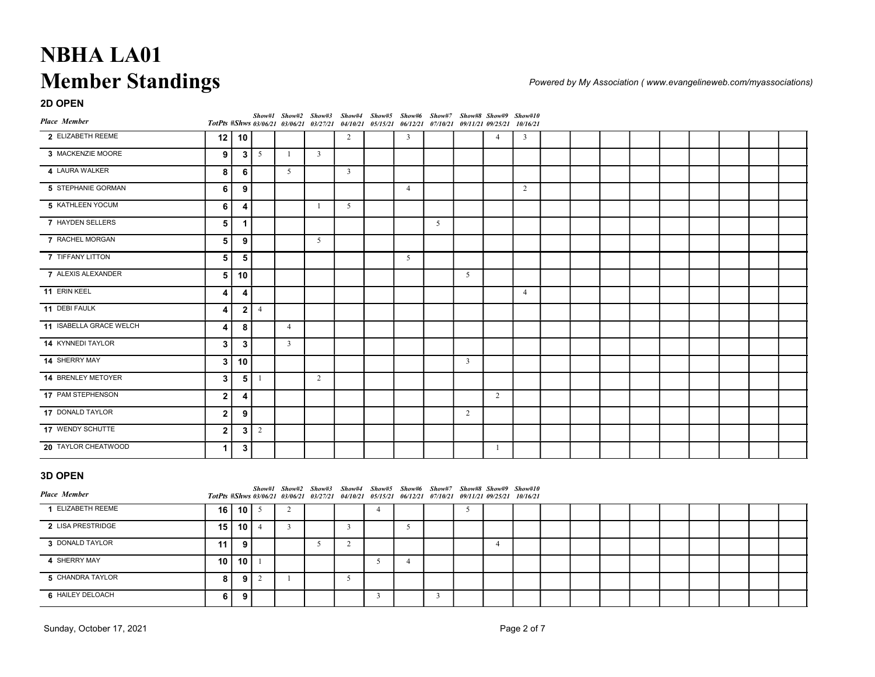| <b>NBHA LA01</b>                  |              |                         |               |                         |                |                         |                |                |                                                                                                                                                                                  |                         |                |                |  |  |  |                                                                  |  |
|-----------------------------------|--------------|-------------------------|---------------|-------------------------|----------------|-------------------------|----------------|----------------|----------------------------------------------------------------------------------------------------------------------------------------------------------------------------------|-------------------------|----------------|----------------|--|--|--|------------------------------------------------------------------|--|
|                                   |              |                         |               |                         |                |                         |                |                |                                                                                                                                                                                  |                         |                |                |  |  |  |                                                                  |  |
|                                   |              |                         |               |                         |                |                         |                |                |                                                                                                                                                                                  |                         |                |                |  |  |  |                                                                  |  |
|                                   |              |                         |               |                         |                |                         |                |                |                                                                                                                                                                                  |                         |                |                |  |  |  |                                                                  |  |
|                                   |              |                         |               |                         |                |                         |                |                |                                                                                                                                                                                  |                         |                |                |  |  |  |                                                                  |  |
|                                   |              |                         |               |                         |                |                         |                |                |                                                                                                                                                                                  |                         |                |                |  |  |  |                                                                  |  |
| <b>Member Standings</b>           |              |                         |               |                         |                |                         |                |                |                                                                                                                                                                                  |                         |                |                |  |  |  | Powered by My Association (www.evangelineweb.com/myassociations) |  |
| 2D OPEN                           |              |                         |               |                         |                |                         |                |                |                                                                                                                                                                                  |                         |                |                |  |  |  |                                                                  |  |
| <b>Place Member</b>               |              |                         |               |                         |                |                         |                |                | Show#1 Show#2 Show#3 Show#4 Show#5 Show#6 Show#7 Show#8 Show#9 Show#10<br>TotPts #Shws 03/06/21 03/06/21 03/27/21 04/10/21 05/15/21 06/12/21 07/10/21 09/11/21 09/25/21 10/16/21 |                         |                |                |  |  |  |                                                                  |  |
| 2 ELIZABETH REEME                 | 12           | 10                      |               |                         |                | 2                       |                | $\overline{3}$ |                                                                                                                                                                                  |                         | $\overline{4}$ | $\overline{3}$ |  |  |  |                                                                  |  |
| 3 MACKENZIE MOORE                 | 9            | 3                       | 5             | -1                      | $\overline{3}$ |                         |                |                |                                                                                                                                                                                  |                         |                |                |  |  |  |                                                                  |  |
| 4 LAURA WALKER                    | 8            | 6                       |               | 5 <sup>5</sup>          |                | $\overline{3}$          |                |                |                                                                                                                                                                                  |                         |                |                |  |  |  |                                                                  |  |
| 5 STEPHANIE GORMAN                | 6            | 9                       |               |                         |                |                         |                | $\overline{4}$ |                                                                                                                                                                                  |                         |                | 2              |  |  |  |                                                                  |  |
| 5 KATHLEEN YOCUM                  | 6            | 4                       |               |                         | -1             | 5                       |                |                |                                                                                                                                                                                  |                         |                |                |  |  |  |                                                                  |  |
| 7 HAYDEN SELLERS                  | $\sqrt{5}$   | $\mathbf{1}$            |               |                         |                |                         |                |                | 5 <sup>5</sup>                                                                                                                                                                   |                         |                |                |  |  |  |                                                                  |  |
| 7 RACHEL MORGAN                   | 5            | 9                       |               |                         | 5              |                         |                |                |                                                                                                                                                                                  |                         |                |                |  |  |  |                                                                  |  |
| 7 TIFFANY LITTON                  | $\sqrt{5}$   | 5                       |               |                         |                |                         |                | 5              |                                                                                                                                                                                  |                         |                |                |  |  |  |                                                                  |  |
| 7 ALEXIS ALEXANDER                | $\sqrt{5}$   | 10                      |               |                         |                |                         |                |                |                                                                                                                                                                                  | 5                       |                |                |  |  |  |                                                                  |  |
| 11 ERIN KEEL                      | 4            | 4                       |               |                         |                |                         |                |                |                                                                                                                                                                                  |                         |                | $\overline{4}$ |  |  |  |                                                                  |  |
| 11 DEBI FAULK                     | 4            |                         | $2$   4       |                         |                |                         |                |                |                                                                                                                                                                                  |                         |                |                |  |  |  |                                                                  |  |
| 11 ISABELLA GRACE WELCH           | 4            | 8                       |               | $\overline{4}$          |                |                         |                |                |                                                                                                                                                                                  |                         |                |                |  |  |  |                                                                  |  |
| 14 KYNNEDI TAYLOR                 | $\mathbf{3}$ | $\overline{\mathbf{3}}$ |               | $\overline{\mathbf{3}}$ |                |                         |                |                |                                                                                                                                                                                  |                         |                |                |  |  |  |                                                                  |  |
| 14 SHERRY MAY                     | $\mathbf{3}$ | 10                      |               |                         |                |                         |                |                |                                                                                                                                                                                  | $\overline{\mathbf{3}}$ |                |                |  |  |  |                                                                  |  |
| 14 BRENLEY METOYER                | $\mathbf{3}$ |                         | $\frac{5}{1}$ |                         | $\overline{2}$ |                         |                |                |                                                                                                                                                                                  |                         |                |                |  |  |  |                                                                  |  |
| 17 PAM STEPHENSON                 | $\mathbf{2}$ | $\overline{\mathbf{4}}$ |               |                         |                |                         |                |                |                                                                                                                                                                                  |                         | 2              |                |  |  |  |                                                                  |  |
| 17 DONALD TAYLOR                  | $\mathbf{2}$ | 9                       |               |                         |                |                         |                |                |                                                                                                                                                                                  | $\overline{2}$          |                |                |  |  |  |                                                                  |  |
| 17 WENDY SCHUTTE                  | $\mathbf{2}$ |                         | $3 \mid 2$    |                         |                |                         |                |                |                                                                                                                                                                                  |                         |                |                |  |  |  |                                                                  |  |
| 20 TAYLOR CHEATWOOD               | $\mathbf 1$  | $\mathbf{3}$            |               |                         |                |                         |                |                |                                                                                                                                                                                  |                         | $\mathbf{1}$   |                |  |  |  |                                                                  |  |
|                                   |              |                         |               |                         |                |                         |                |                |                                                                                                                                                                                  |                         |                |                |  |  |  |                                                                  |  |
| 3D OPEN                           |              |                         |               |                         |                |                         |                |                | Show#1 Show#2 Show#3 Show#4 Show#5 Show#6 Show#7 Show#8 Show#9 Show#10                                                                                                           |                         |                |                |  |  |  |                                                                  |  |
| Place Member<br>1 ELIZABETH REEME | 16           | $10$   5                |               | 2                       |                |                         | $\overline{4}$ |                | TotPts #Shws 03/06/21 03/06/21 03/27/21 04/10/21 05/15/21 06/12/21 07/10/21 09/11/21 09/25/21 10/16/21                                                                           | $5\overline{)}$         |                |                |  |  |  |                                                                  |  |
| 2 LISA PRESTRIDGE                 | 15           |                         | $10$ $4$      | $\mathbf{3}$            |                | $\overline{\mathbf{3}}$ |                | 5              |                                                                                                                                                                                  |                         |                |                |  |  |  |                                                                  |  |
| 3 DONALD TAYLOR                   | 11           | 9                       |               |                         | 5              | 2                       |                |                |                                                                                                                                                                                  |                         | $\overline{4}$ |                |  |  |  |                                                                  |  |
| 4 SHERRY MAY                      |              | $10$   1                |               |                         |                |                         | 5              | $\overline{4}$ |                                                                                                                                                                                  |                         |                |                |  |  |  |                                                                  |  |
| 5 CHANDRA TAYLOR                  | 10<br>8      |                         | $9 \mid 2$    | $\mathbf{1}$            |                | $5\overline{)}$         |                |                |                                                                                                                                                                                  |                         |                |                |  |  |  |                                                                  |  |
|                                   |              |                         |               |                         |                |                         |                |                |                                                                                                                                                                                  |                         |                |                |  |  |  |                                                                  |  |

| 14 KYNNEDI TAYLOR       | 3 <sup>1</sup>  | 3               |                | $\mathbf{3}$   |                                                                                                                                                                                  |                |                |                |   |                |                |  |  |  |  |  |
|-------------------------|-----------------|-----------------|----------------|----------------|----------------------------------------------------------------------------------------------------------------------------------------------------------------------------------|----------------|----------------|----------------|---|----------------|----------------|--|--|--|--|--|
| 14 SHERRY MAY           |                 | 3 10            |                |                |                                                                                                                                                                                  |                |                |                |   | $\overline{3}$ |                |  |  |  |  |  |
| 14 BRENLEY METOYER      | 3               |                 | $5 \mid 1$     |                | 2                                                                                                                                                                                |                |                |                |   |                |                |  |  |  |  |  |
| 17 PAM STEPHENSON       | 2 <sub>1</sub>  | 4               |                |                |                                                                                                                                                                                  |                |                |                |   |                | 2              |  |  |  |  |  |
| 17 DONALD TAYLOR        | 2               | 9               |                |                |                                                                                                                                                                                  |                |                |                |   | $\overline{2}$ |                |  |  |  |  |  |
| 17 WENDY SCHUTTE        | $\mathbf{2}$    | 3 <sup>1</sup>  | $\overline{2}$ |                |                                                                                                                                                                                  |                |                |                |   |                |                |  |  |  |  |  |
| 20 TAYLOR CHEATWOOD     | $1 \mid$        | 3 <sup>1</sup>  |                |                |                                                                                                                                                                                  |                |                |                |   |                | -1             |  |  |  |  |  |
| 3D OPEN                 |                 |                 |                |                |                                                                                                                                                                                  |                |                |                |   |                |                |  |  |  |  |  |
| <b>Place Member</b>     |                 |                 |                |                | Show#1 Show#2 Show#3 Show#4 Show#5 Show#6 Show#7 Show#8 Show#9 Show#10<br>TotPts #Shws 03/06/21 03/06/21 03/27/21 04/10/21 05/15/21 06/12/21 07/10/21 09/11/21 09/25/21 10/16/21 |                |                |                |   |                |                |  |  |  |  |  |
|                         |                 |                 |                | $\overline{2}$ |                                                                                                                                                                                  |                | $\overline{4}$ |                |   | 5              |                |  |  |  |  |  |
| 1 ELIZABETH REEME       | 16   10   5     |                 |                |                |                                                                                                                                                                                  |                |                |                |   |                |                |  |  |  |  |  |
| 2 LISA PRESTRIDGE       | 15 <sup>1</sup> | 10 <sup>1</sup> | $\overline{4}$ | 3 <sup>7</sup> |                                                                                                                                                                                  | $\overline{3}$ |                | 5              |   |                |                |  |  |  |  |  |
| 3 DONALD TAYLOR         | 11              | 9 <sup>1</sup>  |                |                | 5                                                                                                                                                                                | 2              |                |                |   |                | $\overline{4}$ |  |  |  |  |  |
| 4 SHERRY MAY            | 10 <sup>1</sup> | $10$   1        |                |                |                                                                                                                                                                                  |                | 5 <sup>5</sup> | $\overline{4}$ |   |                |                |  |  |  |  |  |
| 5 CHANDRA TAYLOR        | 8               | 9 I             | $\overline{2}$ |                |                                                                                                                                                                                  | 5              |                |                |   |                |                |  |  |  |  |  |
| <b>6 HAILEY DELOACH</b> | 6 I             | 9 <sup>1</sup>  |                |                |                                                                                                                                                                                  |                | $\overline{3}$ |                | 3 |                |                |  |  |  |  |  |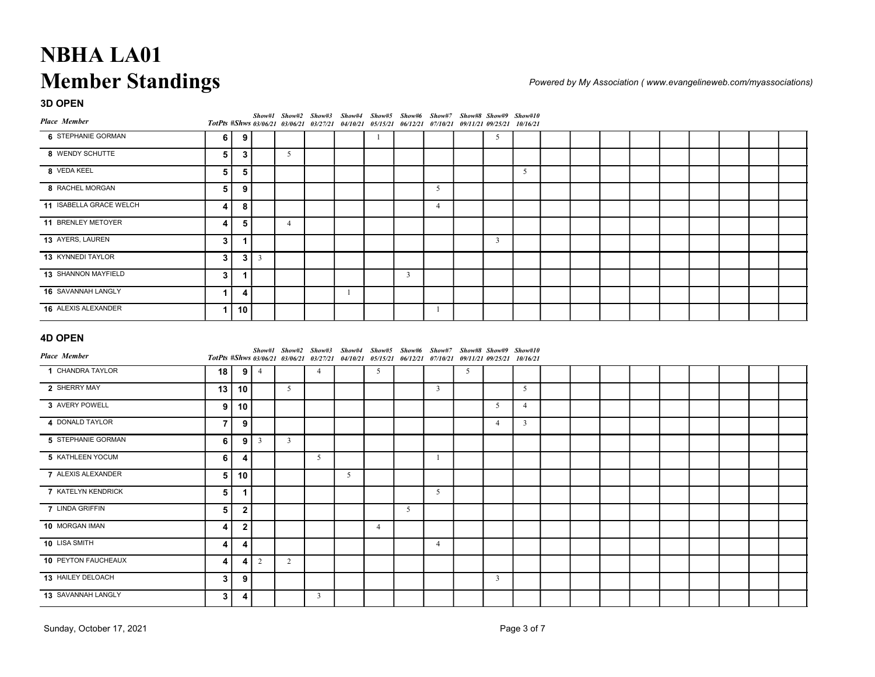| <b>NBHA LA01</b>          |                         |                |            |                                                                                                                                                                                  |                 |                |    |                         |                |   |                |                         |  |  |  |                                                                  |  |
|---------------------------|-------------------------|----------------|------------|----------------------------------------------------------------------------------------------------------------------------------------------------------------------------------|-----------------|----------------|----|-------------------------|----------------|---|----------------|-------------------------|--|--|--|------------------------------------------------------------------|--|
|                           |                         |                |            |                                                                                                                                                                                  |                 |                |    |                         |                |   |                |                         |  |  |  |                                                                  |  |
| <b>Member Standings</b>   |                         |                |            |                                                                                                                                                                                  |                 |                |    |                         |                |   |                |                         |  |  |  | Powered by My Association (www.evangelineweb.com/myassociations) |  |
| 3D OPEN                   |                         |                |            |                                                                                                                                                                                  |                 |                |    |                         |                |   |                |                         |  |  |  |                                                                  |  |
| <b>Place Member</b>       |                         |                |            | Show#1 Show#2 Show#3 Show#4 Show#5 Show#6 Show#7 Show#8 Show#9 Show#10<br>TotPts #Shws 03/06/21 03/06/21 03/27/21 04/10/21 05/15/21 06/12/21 07/10/21 09/11/21 09/25/21 10/16/21 |                 |                |    |                         |                |   |                |                         |  |  |  |                                                                  |  |
| 6 STEPHANIE GORMAN        | 6                       | 9              |            |                                                                                                                                                                                  |                 |                | -1 |                         |                |   | 5              |                         |  |  |  |                                                                  |  |
| 8 WENDY SCHUTTE           | 5                       | $\mathbf{3}$   |            | $5\overline{)}$                                                                                                                                                                  |                 |                |    |                         |                |   |                |                         |  |  |  |                                                                  |  |
| 8 VEDA KEEL               | $\sqrt{5}$              | 5              |            |                                                                                                                                                                                  |                 |                |    |                         |                |   |                | 5                       |  |  |  |                                                                  |  |
| 8 RACHEL MORGAN           | $\sqrt{5}$              | 9              |            |                                                                                                                                                                                  |                 |                |    |                         | 5              |   |                |                         |  |  |  |                                                                  |  |
| 11 ISABELLA GRACE WELCH   | 4                       | 8              |            |                                                                                                                                                                                  |                 |                |    |                         | $\overline{4}$ |   |                |                         |  |  |  |                                                                  |  |
| 11 BRENLEY METOYER        | 4                       | 5              |            | $\overline{4}$                                                                                                                                                                   |                 |                |    |                         |                |   |                |                         |  |  |  |                                                                  |  |
| 13 AYERS, LAUREN          | $\mathbf{3}$            | $\mathbf{1}$   |            |                                                                                                                                                                                  |                 |                |    |                         |                |   | $\mathbf{3}$   |                         |  |  |  |                                                                  |  |
| 13 KYNNEDI TAYLOR         | $\mathbf{3}$            |                | $3 \mid 3$ |                                                                                                                                                                                  |                 |                |    |                         |                |   |                |                         |  |  |  |                                                                  |  |
| 13 SHANNON MAYFIELD       | $\mathbf{3}$            | $\mathbf{1}$   |            |                                                                                                                                                                                  |                 |                |    | $\overline{\mathbf{3}}$ |                |   |                |                         |  |  |  |                                                                  |  |
| 16 SAVANNAH LANGLY        | $\mathbf{1}$            | 4              |            |                                                                                                                                                                                  |                 | -1             |    |                         |                |   |                |                         |  |  |  |                                                                  |  |
| 16 ALEXIS ALEXANDER       | $\vert$ 1               | 10             |            |                                                                                                                                                                                  |                 |                |    |                         | -1             |   |                |                         |  |  |  |                                                                  |  |
| <b>4D OPEN</b>            |                         |                |            |                                                                                                                                                                                  |                 |                |    |                         |                |   |                |                         |  |  |  |                                                                  |  |
| <b>Place Member</b>       |                         |                |            | Show#1 Show#2 Show#3 Show#4 Show#5 Show#6 Show#7 Show#8 Show#9 Show#10<br>TotPts #Shws 03/06/21 03/06/21 03/27/21 04/10/21 05/15/21 06/12/21 07/10/21 09/11/21 09/25/21 10/16/21 |                 |                |    |                         |                |   |                |                         |  |  |  |                                                                  |  |
| 1 CHANDRA TAYLOR          | 18                      |                | $9 \mid 4$ |                                                                                                                                                                                  | $\overline{4}$  |                | 5  |                         |                | 5 |                |                         |  |  |  |                                                                  |  |
| 2 SHERRY MAY              | 13                      | 10             |            | 5 <sup>5</sup>                                                                                                                                                                   |                 |                |    |                         | $\mathbf{3}$   |   |                | 5 <sup>5</sup>          |  |  |  |                                                                  |  |
| 3 AVERY POWELL            | 9 <sup>1</sup>          | 10             |            |                                                                                                                                                                                  |                 |                |    |                         |                |   | 5              | $\overline{4}$          |  |  |  |                                                                  |  |
| 4 DONALD TAYLOR           | $\overline{7}$          | 9              |            |                                                                                                                                                                                  |                 |                |    |                         |                |   | $\overline{4}$ | $\overline{\mathbf{3}}$ |  |  |  |                                                                  |  |
| 5 STEPHANIE GORMAN        | $\bf 6$                 |                | $9 \mid 3$ | $\mathbf{3}$                                                                                                                                                                     |                 |                |    |                         |                |   |                |                         |  |  |  |                                                                  |  |
| 5 KATHLEEN YOCUM          | 6                       | 4              |            |                                                                                                                                                                                  | $5\overline{)}$ |                |    |                         | -1             |   |                |                         |  |  |  |                                                                  |  |
| 7 ALEXIS ALEXANDER        | $\overline{\mathbf{5}}$ | 10             |            |                                                                                                                                                                                  |                 | 5 <sup>5</sup> |    |                         |                |   |                |                         |  |  |  |                                                                  |  |
| <b>7 KATELYN KENDRICK</b> | $\overline{\mathbf{5}}$ | $\mathbf{1}$   |            |                                                                                                                                                                                  |                 |                |    |                         | 5 <sup>5</sup> |   |                |                         |  |  |  |                                                                  |  |
| 7 LINDA GRIFFIN           | $5\overline{5}$         | $\overline{2}$ |            |                                                                                                                                                                                  |                 |                |    | 5                       |                |   |                |                         |  |  |  |                                                                  |  |

| 8 VEDA KEEL              | 5                       | 5              |                         |                                |                                                                        |                 |                |                                                                |                |   |                         | 5               |  |  |  |  |  |
|--------------------------|-------------------------|----------------|-------------------------|--------------------------------|------------------------------------------------------------------------|-----------------|----------------|----------------------------------------------------------------|----------------|---|-------------------------|-----------------|--|--|--|--|--|
| 8 RACHEL MORGAN          | $\overline{\mathbf{5}}$ | 9              |                         |                                |                                                                        |                 |                |                                                                | 5              |   |                         |                 |  |  |  |  |  |
| 11 ISABELLA GRACE WELCH  | 4                       | 8              |                         |                                |                                                                        |                 |                |                                                                | $\overline{4}$ |   |                         |                 |  |  |  |  |  |
| 11 BRENLEY METOYER       | 4                       | 5              |                         | $\overline{4}$                 |                                                                        |                 |                |                                                                |                |   |                         |                 |  |  |  |  |  |
| 13 AYERS, LAUREN         | $\mathbf{3}$            | $\mathbf{1}$   |                         |                                |                                                                        |                 |                |                                                                |                |   | $\overline{3}$          |                 |  |  |  |  |  |
| 13 KYNNEDI TAYLOR        | $\mathbf{3}$            |                | $3 \mid 3$              |                                |                                                                        |                 |                |                                                                |                |   |                         |                 |  |  |  |  |  |
| 13 SHANNON MAYFIELD      | $\mathbf{3}$            | $\mathbf 1$    |                         |                                |                                                                        |                 |                | $\overline{3}$                                                 |                |   |                         |                 |  |  |  |  |  |
| 16 SAVANNAH LANGLY       | $\mathbf 1$             | 4              |                         |                                |                                                                        | $\mathbf{1}$    |                |                                                                |                |   |                         |                 |  |  |  |  |  |
| 16 ALEXIS ALEXANDER      | $\mathbf 1$             | 10             |                         |                                |                                                                        |                 |                |                                                                | $\mathbf{1}$   |   |                         |                 |  |  |  |  |  |
|                          |                         |                |                         |                                |                                                                        |                 |                |                                                                |                |   |                         |                 |  |  |  |  |  |
| <b>4D OPEN</b>           |                         |                |                         |                                | Show#1 Show#2 Show#3 Show#4 Show#5 Show#6 Show#7 Show#8 Show#9 Show#10 |                 |                |                                                                |                |   |                         |                 |  |  |  |  |  |
| <b>Place Member</b>      |                         |                |                         | TotPts #Shws 03/06/21 03/06/21 | 03/27/21                                                               |                 |                | 04/10/21 05/15/21 06/12/21 07/10/21 09/11/21 09/25/21 10/16/21 |                |   |                         |                 |  |  |  |  |  |
| 1 CHANDRA TAYLOR         | 18                      | 9 <sup>1</sup> | $\overline{4}$          |                                | $\overline{4}$                                                         |                 | 5              |                                                                |                | 5 |                         |                 |  |  |  |  |  |
| 2 SHERRY MAY             | 13                      | 10             |                         | 5                              |                                                                        |                 |                |                                                                | $\mathbf{3}$   |   |                         | $5\overline{)}$ |  |  |  |  |  |
| 3 AVERY POWELL           | 9                       | 10             |                         |                                |                                                                        |                 |                |                                                                |                |   | $5\overline{5}$         | $\overline{4}$  |  |  |  |  |  |
| 4 DONALD TAYLOR          | $\overline{7}$          | 9              |                         |                                |                                                                        |                 |                |                                                                |                |   | $\overline{4}$          | $\overline{3}$  |  |  |  |  |  |
| 5 STEPHANIE GORMAN       | 6                       | 9              | $\overline{\mathbf{3}}$ | $\overline{\mathbf{3}}$        |                                                                        |                 |                |                                                                |                |   |                         |                 |  |  |  |  |  |
| 5 KATHLEEN YOCUM         | 6                       | 4              |                         |                                | 5                                                                      |                 |                |                                                                | $\mathbf{1}$   |   |                         |                 |  |  |  |  |  |
| 7 ALEXIS ALEXANDER       | $5\phantom{.0}$         | 10             |                         |                                |                                                                        | $5\overline{)}$ |                |                                                                |                |   |                         |                 |  |  |  |  |  |
| 7 KATELYN KENDRICK       | $5\phantom{.0}$         | $\overline{1}$ |                         |                                |                                                                        |                 |                |                                                                | 5 <sup>5</sup> |   |                         |                 |  |  |  |  |  |
| 7 LINDA GRIFFIN          | $\overline{\mathbf{5}}$ | $\overline{2}$ |                         |                                |                                                                        |                 |                | 5                                                              |                |   |                         |                 |  |  |  |  |  |
| 10 MORGAN IMAN           | 4                       | $\mathbf{2}$   |                         |                                |                                                                        |                 | $\overline{4}$ |                                                                |                |   |                         |                 |  |  |  |  |  |
| 10 LISA SMITH            | 4                       | 4              |                         |                                |                                                                        |                 |                |                                                                | $\overline{4}$ |   |                         |                 |  |  |  |  |  |
| 10 PEYTON FAUCHEAUX      | 4                       | $\overline{4}$ | 2                       | $\overline{2}$                 |                                                                        |                 |                |                                                                |                |   |                         |                 |  |  |  |  |  |
| 13 HAILEY DELOACH        | $\mathbf{3}$            | 9              |                         |                                |                                                                        |                 |                |                                                                |                |   | $\overline{\mathbf{3}}$ |                 |  |  |  |  |  |
| 13 SAVANNAH LANGLY       | $\mathbf{3}$            | 4              |                         |                                | $\overline{3}$                                                         |                 |                |                                                                |                |   |                         |                 |  |  |  |  |  |
|                          |                         |                |                         |                                |                                                                        |                 |                |                                                                |                |   |                         |                 |  |  |  |  |  |
| Sunday, October 17, 2021 |                         |                |                         |                                |                                                                        |                 |                |                                                                |                |   |                         | Page 3 of 7     |  |  |  |  |  |
|                          |                         |                |                         |                                |                                                                        |                 |                |                                                                |                |   |                         |                 |  |  |  |  |  |
|                          |                         |                |                         |                                |                                                                        |                 |                |                                                                |                |   |                         |                 |  |  |  |  |  |
|                          |                         |                |                         |                                |                                                                        |                 |                |                                                                |                |   |                         |                 |  |  |  |  |  |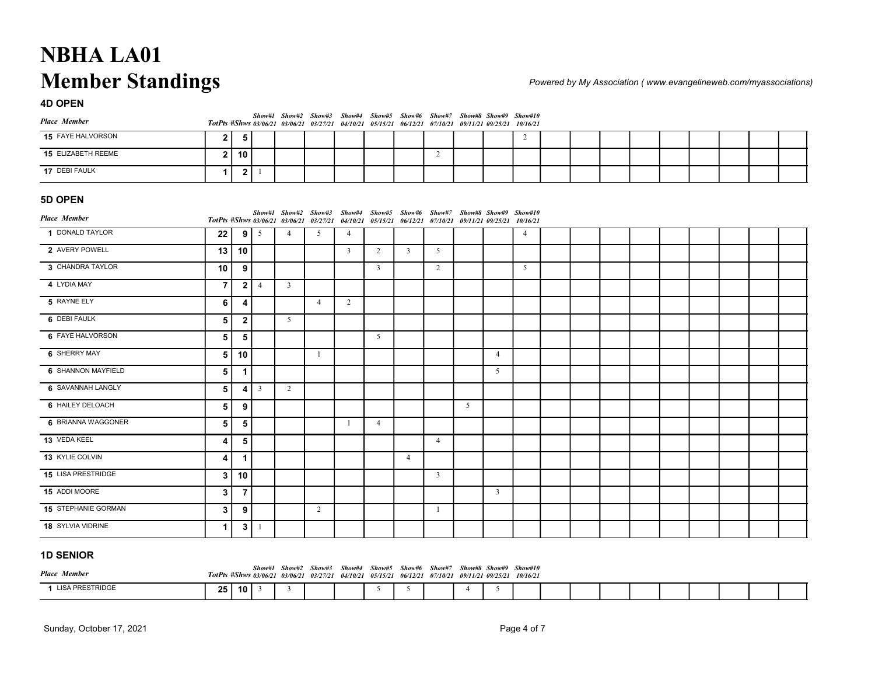| <b>NBHA LA01</b>        |              |              |            |   |                      |                                                                                                                  |  |   |                                            |   |  |  |  |                                                                 |  |
|-------------------------|--------------|--------------|------------|---|----------------------|------------------------------------------------------------------------------------------------------------------|--|---|--------------------------------------------|---|--|--|--|-----------------------------------------------------------------|--|
| <b>Member Standings</b> |              |              |            |   |                      |                                                                                                                  |  |   |                                            |   |  |  |  | Powered by My Association (www.evangelineweb.com/myassociation. |  |
| <b>4D OPEN</b>          |              |              |            |   |                      |                                                                                                                  |  |   |                                            |   |  |  |  |                                                                 |  |
| <b>Place Member</b>     |              |              |            |   | Show#1 Show#2 Show#3 | Show#4<br>TotPts #Shws 03/06/21 03/06/21 03/27/21 04/10/21 05/15/21 06/12/21 07/10/21 09/11/21 09/25/21 10/16/21 |  |   | Show#5 Show#6 Show#7 Show#8 Show#9 Show#10 |   |  |  |  |                                                                 |  |
| 15 FAYE HALVORSON       | $\mathbf{2}$ | 5            |            |   |                      |                                                                                                                  |  |   |                                            | 2 |  |  |  |                                                                 |  |
| 15 ELIZABETH REEME      | $\mathbf{2}$ | 10           |            |   |                      |                                                                                                                  |  | 2 |                                            |   |  |  |  |                                                                 |  |
| 17 DEBI FAULK           | 1            | $\mathbf{2}$ |            |   |                      |                                                                                                                  |  |   |                                            |   |  |  |  |                                                                 |  |
| 5D OPEN                 |              |              |            |   |                      |                                                                                                                  |  |   |                                            |   |  |  |  |                                                                 |  |
| <b>Place Member</b>     |              |              |            |   | Show#1 Show#2 Show#3 | Show#4<br>TotPts #Shws 03/06/21 03/06/21 03/27/21 04/10/21 05/15/21 06/12/21 07/10/21 09/11/21 09/25/21 10/16/21 |  |   | Show#5 Show#6 Show#7 Show#8 Show#9 Show#10 |   |  |  |  |                                                                 |  |
| 1 DONALD TAYLOR         | 22           | 9            | $\sqrt{5}$ | 4 | 5                    | $\overline{4}$                                                                                                   |  |   |                                            | 4 |  |  |  |                                                                 |  |

| <b>NBHA LA01</b><br><b>Member Standings</b><br><b>4D OPEN</b> |                         |                  |                         |                 |                                         |                         |                                                                                                                                                                                  |                |                |   |                |                |  |  |  |                                                                  |  |
|---------------------------------------------------------------|-------------------------|------------------|-------------------------|-----------------|-----------------------------------------|-------------------------|----------------------------------------------------------------------------------------------------------------------------------------------------------------------------------|----------------|----------------|---|----------------|----------------|--|--|--|------------------------------------------------------------------|--|
|                                                               |                         |                  |                         |                 |                                         |                         |                                                                                                                                                                                  |                |                |   |                |                |  |  |  |                                                                  |  |
|                                                               |                         |                  |                         |                 |                                         |                         |                                                                                                                                                                                  |                |                |   |                |                |  |  |  | Powered by My Association (www.evangelineweb.com/myassociations) |  |
|                                                               |                         |                  |                         |                 |                                         |                         |                                                                                                                                                                                  |                |                |   |                |                |  |  |  |                                                                  |  |
| <b>Place Member</b>                                           |                         |                  |                         |                 |                                         |                         | Show#1 Show#2 Show#3 Show#4 Show#5 Show#6 Show#7 Show#8 Show#9 Show#10<br>TotPts #Shws 03/06/21 03/06/21 03/27/21 04/10/21 05/15/21 06/12/21 07/10/21 09/11/21 09/25/21 10/16/21 |                |                |   |                |                |  |  |  |                                                                  |  |
| 15 FAYE HALVORSON                                             | $\mathbf{2}$            | -5               |                         |                 |                                         |                         |                                                                                                                                                                                  |                |                |   |                | $\overline{2}$ |  |  |  |                                                                  |  |
| 15 ELIZABETH REEME                                            | $\mathbf{2}$            | 10               |                         |                 |                                         |                         |                                                                                                                                                                                  |                | $\overline{2}$ |   |                |                |  |  |  |                                                                  |  |
| 17 DEBI FAULK                                                 | $\mathbf{1}$            |                  | 2 1                     |                 |                                         |                         |                                                                                                                                                                                  |                |                |   |                |                |  |  |  |                                                                  |  |
|                                                               |                         |                  |                         |                 |                                         |                         |                                                                                                                                                                                  |                |                |   |                |                |  |  |  |                                                                  |  |
| 5D OPEN                                                       |                         |                  |                         |                 |                                         |                         | Show#1 Show#2 Show#3 Show#4 Show#5 Show#6 Show#7 Show#8 Show#9 Show#10                                                                                                           |                |                |   |                |                |  |  |  |                                                                  |  |
| <b>Place Member</b>                                           |                         |                  |                         |                 | TotPts #Shws 03/06/21 03/06/21 03/27/21 |                         | 04/10/21 05/15/21 06/12/21 07/10/21 09/11/21 09/25/21 10/16/21                                                                                                                   |                |                |   |                |                |  |  |  |                                                                  |  |
| 1 DONALD TAYLOR                                               | 22                      | 9                | 5                       | $\overline{4}$  | 5                                       | $\overline{4}$          |                                                                                                                                                                                  |                |                |   |                | $\overline{4}$ |  |  |  |                                                                  |  |
| 2 AVERY POWELL                                                | 13                      | 10               |                         |                 |                                         | $\overline{\mathbf{3}}$ | 2                                                                                                                                                                                | $\overline{3}$ | 5              |   |                |                |  |  |  |                                                                  |  |
| 3 CHANDRA TAYLOR                                              | 10                      | 9                |                         |                 |                                         |                         | $\overline{\mathbf{3}}$                                                                                                                                                          |                | $\overline{2}$ |   |                | 5              |  |  |  |                                                                  |  |
| 4 LYDIA MAY                                                   | $\overline{7}$          | $\mathbf{2}$     | $\overline{4}$          | $\mathbf{3}$    |                                         |                         |                                                                                                                                                                                  |                |                |   |                |                |  |  |  |                                                                  |  |
| 5 RAYNE ELY                                                   | 6                       | $\boldsymbol{4}$ |                         |                 | $\overline{4}$                          | $\overline{2}$          |                                                                                                                                                                                  |                |                |   |                |                |  |  |  |                                                                  |  |
| 6 DEBI FAULK                                                  | $\sqrt{5}$              | $\mathbf{2}$     |                         | $5\overline{)}$ |                                         |                         |                                                                                                                                                                                  |                |                |   |                |                |  |  |  |                                                                  |  |
| 6 FAYE HALVORSON                                              | 5                       | 5                |                         |                 |                                         |                         | $5\overline{)}$                                                                                                                                                                  |                |                |   |                |                |  |  |  |                                                                  |  |
| 6 SHERRY MAY                                                  | 5                       | 10               |                         |                 | -1                                      |                         |                                                                                                                                                                                  |                |                |   | $\overline{4}$ |                |  |  |  |                                                                  |  |
| 6 SHANNON MAYFIELD                                            | 5                       | $\mathbf{1}$     |                         |                 |                                         |                         |                                                                                                                                                                                  |                |                |   | 5              |                |  |  |  |                                                                  |  |
| 6 SAVANNAH LANGLY                                             | 5                       | 4                | $\overline{\mathbf{3}}$ | $\overline{2}$  |                                         |                         |                                                                                                                                                                                  |                |                |   |                |                |  |  |  |                                                                  |  |
| 6 HAILEY DELOACH                                              | $\sqrt{5}$              | 9                |                         |                 |                                         |                         |                                                                                                                                                                                  |                |                | 5 |                |                |  |  |  |                                                                  |  |
| 6 BRIANNA WAGGONER                                            | 5                       | 5                |                         |                 |                                         | -1                      | $\overline{4}$                                                                                                                                                                   |                |                |   |                |                |  |  |  |                                                                  |  |
| 13 VEDA KEEL                                                  | 4                       | $\overline{5}$   |                         |                 |                                         |                         |                                                                                                                                                                                  |                | $\overline{4}$ |   |                |                |  |  |  |                                                                  |  |
| 13 KYLIE COLVIN                                               | $\overline{\mathbf{4}}$ | $\mathbf{1}$     |                         |                 |                                         |                         |                                                                                                                                                                                  | $\overline{4}$ |                |   |                |                |  |  |  |                                                                  |  |
| 15 LISA PRESTRIDGE                                            | $\mathbf{3}$            | 10               |                         |                 |                                         |                         |                                                                                                                                                                                  |                | $\overline{3}$ |   |                |                |  |  |  |                                                                  |  |
| 15 ADDI MOORE                                                 | $\mathbf{3}$            | $\overline{7}$   |                         |                 |                                         |                         |                                                                                                                                                                                  |                |                |   | $\overline{3}$ |                |  |  |  |                                                                  |  |
| 15 STEPHANIE GORMAN                                           | 3                       | $\boldsymbol{9}$ |                         |                 | 2                                       |                         |                                                                                                                                                                                  |                | $\mathbf{1}$   |   |                |                |  |  |  |                                                                  |  |
| 18 SYLVIA VIDRINE                                             | $\mathbf{1}$            |                  | $3 \mid 1$              |                 |                                         |                         |                                                                                                                                                                                  |                |                |   |                |                |  |  |  |                                                                  |  |
| <b>1D SENIOR</b>                                              |                         |                  |                         |                 |                                         |                         |                                                                                                                                                                                  |                |                |   |                |                |  |  |  |                                                                  |  |
|                                                               |                         |                  |                         |                 |                                         |                         | Show#1 Show#2 Show#3 Show#4 Show#5 Show#6 Show#7 Show#8 Show#9 Show#10                                                                                                           |                |                |   |                |                |  |  |  |                                                                  |  |
| <b>Place Member</b>                                           |                         |                  |                         |                 |                                         |                         | TotPts #Shws 03/06/21 03/06/21 03/27/21 04/10/21 05/15/21 06/12/21 07/10/21 09/11/21 09/25/21 10/16/21                                                                           |                |                |   |                |                |  |  |  |                                                                  |  |

| <b>1D SENIOR</b>    |      |                 |  |                                                                                                                                                                                  |  |  |  |  |  |  |  |  |
|---------------------|------|-----------------|--|----------------------------------------------------------------------------------------------------------------------------------------------------------------------------------|--|--|--|--|--|--|--|--|
| <b>Place Member</b> |      |                 |  | Show#1 Show#2 Show#3 Show#4 Show#5 Show#6 Show#7 Show#8 Show#9 Show#10<br>TotPts #Shws 03/06/21 03/06/21 03/27/21 04/10/21 05/15/21 06/12/21 07/10/21 09/11/21 09/25/21 10/16/21 |  |  |  |  |  |  |  |  |
| LISA PRESTRIDGE     | 25 I | 10 <sup>1</sup> |  |                                                                                                                                                                                  |  |  |  |  |  |  |  |  |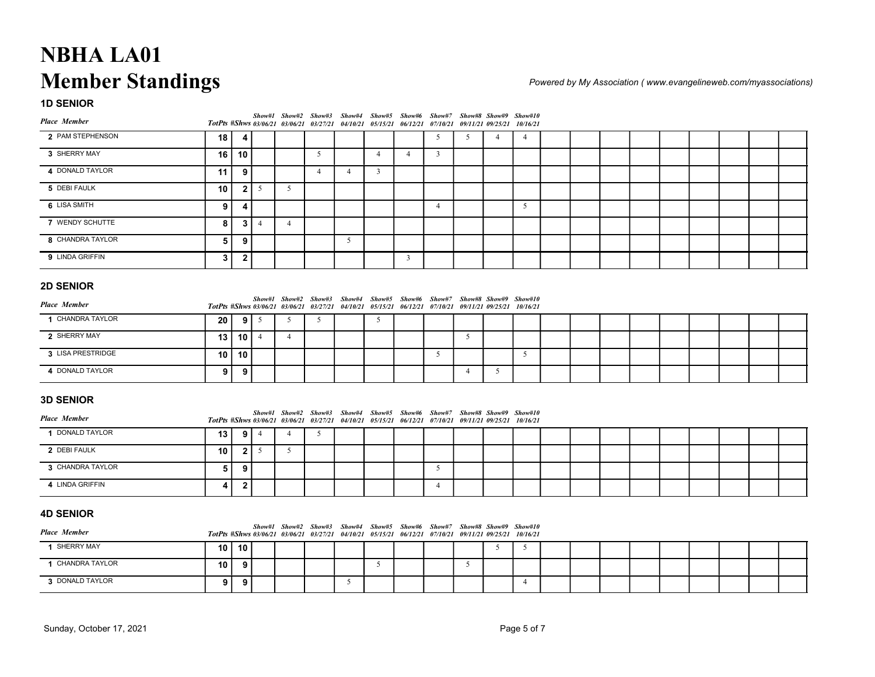| <b>NBHA LA01</b>        |                                                                                                        |                         |                 |                |                                         |                |                                                                                                                                                                                  |                |                 |                |                          |                |  |  |  |                                                                  |  |
|-------------------------|--------------------------------------------------------------------------------------------------------|-------------------------|-----------------|----------------|-----------------------------------------|----------------|----------------------------------------------------------------------------------------------------------------------------------------------------------------------------------|----------------|-----------------|----------------|--------------------------|----------------|--|--|--|------------------------------------------------------------------|--|
|                         |                                                                                                        |                         |                 |                |                                         |                |                                                                                                                                                                                  |                |                 |                |                          |                |  |  |  |                                                                  |  |
| <b>Member Standings</b> |                                                                                                        |                         |                 |                |                                         |                |                                                                                                                                                                                  |                |                 |                |                          |                |  |  |  | Powered by My Association (www.evangelineweb.com/myassociations) |  |
| <b>1D SENIOR</b>        |                                                                                                        |                         |                 |                | Show#1 Show#2 Show#3                    |                | Show#4 Show#5 Show#6 Show#7 Show#8 Show#9 Show#10                                                                                                                                |                |                 |                |                          |                |  |  |  |                                                                  |  |
| <b>Place Member</b>     |                                                                                                        |                         |                 |                | TotPts #Shws 03/06/21 03/06/21 03/27/21 |                | 04/10/21 05/15/21 06/12/21                                                                                                                                                       |                | <i>07/10/21</i> |                | <i>09/11/21 09/25/21</i> | 10/16/21       |  |  |  |                                                                  |  |
| 2 PAM STEPHENSON        | 18                                                                                                     | 4                       |                 |                |                                         |                |                                                                                                                                                                                  |                | 5               | 5              | $\overline{4}$           | $\overline{4}$ |  |  |  |                                                                  |  |
| 3 SHERRY MAY            | 16                                                                                                     | 10                      |                 |                | 5                                       |                | $\overline{4}$                                                                                                                                                                   | $\overline{4}$ | $\mathbf{3}$    |                |                          |                |  |  |  |                                                                  |  |
| 4 DONALD TAYLOR         | 11                                                                                                     | 9                       |                 |                | $\overline{4}$                          | $\overline{4}$ | $\overline{3}$                                                                                                                                                                   |                |                 |                |                          |                |  |  |  |                                                                  |  |
| 5 DEBI FAULK            | 10                                                                                                     |                         | $2\sqrt{5}$     | 5              |                                         |                |                                                                                                                                                                                  |                |                 |                |                          |                |  |  |  |                                                                  |  |
| 6 LISA SMITH            | 9                                                                                                      | 4                       |                 |                |                                         |                |                                                                                                                                                                                  |                | 4               |                |                          | 5              |  |  |  |                                                                  |  |
| 7 WENDY SCHUTTE         | 8                                                                                                      | 3                       | $\overline{4}$  | $\overline{4}$ |                                         |                |                                                                                                                                                                                  |                |                 |                |                          |                |  |  |  |                                                                  |  |
| 8 CHANDRA TAYLOR        | 5                                                                                                      | 9                       |                 |                |                                         | 5              |                                                                                                                                                                                  |                |                 |                |                          |                |  |  |  |                                                                  |  |
| 9 LINDA GRIFFIN         | $\mathbf{3}$                                                                                           | $\boldsymbol{2}$        |                 |                |                                         |                |                                                                                                                                                                                  | $\overline{3}$ |                 |                |                          |                |  |  |  |                                                                  |  |
| <b>2D SENIOR</b>        |                                                                                                        |                         |                 |                |                                         |                |                                                                                                                                                                                  |                |                 |                |                          |                |  |  |  |                                                                  |  |
| <b>Place Member</b>     |                                                                                                        |                         |                 |                |                                         |                | Show#1 Show#2 Show#3 Show#4 Show#5 Show#6 Show#7 Show#8 Show#9 Show#10                                                                                                           |                |                 |                |                          |                |  |  |  |                                                                  |  |
| 1 CHANDRA TAYLOR        | 20                                                                                                     | 9                       | $5\overline{)}$ | 5              | 5                                       |                | TotPts #Shws 03/06/21 03/06/21 03/27/21 04/10/21 05/15/21 06/12/21 07/10/21 09/11/21 09/25/21 10/16/21<br>5                                                                      |                |                 |                |                          |                |  |  |  |                                                                  |  |
| 2 SHERRY MAY            | 13                                                                                                     | $10$   $4$              |                 | $\overline{4}$ |                                         |                |                                                                                                                                                                                  |                |                 | 5              |                          |                |  |  |  |                                                                  |  |
| 3 LISA PRESTRIDGE       | 10                                                                                                     | 10                      |                 |                |                                         |                |                                                                                                                                                                                  |                | 5               |                |                          | 5              |  |  |  |                                                                  |  |
| 4 DONALD TAYLOR         | 9                                                                                                      | 9                       |                 |                |                                         |                |                                                                                                                                                                                  |                |                 | $\overline{4}$ | 5                        |                |  |  |  |                                                                  |  |
|                         |                                                                                                        |                         |                 |                |                                         |                |                                                                                                                                                                                  |                |                 |                |                          |                |  |  |  |                                                                  |  |
| <b>3D SENIOR</b>        |                                                                                                        |                         |                 |                |                                         |                |                                                                                                                                                                                  |                |                 |                |                          |                |  |  |  |                                                                  |  |
| <b>Place Member</b>     |                                                                                                        |                         |                 |                |                                         |                | Show#1 Show#2 Show#3 Show#4 Show#5 Show#6 Show#7 Show#8 Show#9 Show#10<br>TotPts #Shws 03/06/21 03/06/21 03/27/21 04/10/21 05/15/21 06/12/21 07/10/21 09/11/21 09/25/21 10/16/21 |                |                 |                |                          |                |  |  |  |                                                                  |  |
| 1 DONALD TAYLOR         | 13                                                                                                     | 9                       | $\overline{4}$  | $\overline{4}$ | 5                                       |                |                                                                                                                                                                                  |                |                 |                |                          |                |  |  |  |                                                                  |  |
| 2 DEBI FAULK            | 10                                                                                                     |                         | $2 \mid 5$      | 5              |                                         |                |                                                                                                                                                                                  |                |                 |                |                          |                |  |  |  |                                                                  |  |
| 3 CHANDRA TAYLOR        | 5                                                                                                      | 9                       |                 |                |                                         |                |                                                                                                                                                                                  |                | 5               |                |                          |                |  |  |  |                                                                  |  |
| 4 LINDA GRIFFIN         | 4                                                                                                      | $\overline{\mathbf{2}}$ |                 |                |                                         |                |                                                                                                                                                                                  |                | $\overline{4}$  |                |                          |                |  |  |  |                                                                  |  |
|                         |                                                                                                        |                         |                 |                |                                         |                |                                                                                                                                                                                  |                |                 |                |                          |                |  |  |  |                                                                  |  |
| <b>4D SENIOR</b>        |                                                                                                        |                         |                 |                |                                         |                |                                                                                                                                                                                  |                |                 |                |                          |                |  |  |  |                                                                  |  |
| <b>Place Member</b>     | TotPts #Shws 03/06/21 03/06/21 03/27/21 04/10/21 05/15/21 06/12/21 07/10/21 09/11/21 09/25/21 10/16/21 |                         |                 |                |                                         |                | Show#1 Show#2 Show#3 Show#4 Show#5 Show#6 Show#7 Show#8 Show#9 Show#10                                                                                                           |                |                 |                |                          |                |  |  |  |                                                                  |  |

| <b>2D SENIOR</b>      |                 |                 |  |                                                                                                                                                                                  |  |  |  |  |  |  |  |  |
|-----------------------|-----------------|-----------------|--|----------------------------------------------------------------------------------------------------------------------------------------------------------------------------------|--|--|--|--|--|--|--|--|
| <b>Place Member</b>   |                 |                 |  | Show#1 Show#2 Show#3 Show#4 Show#5 Show#6 Show#7 Show#8 Show#9 Show#10<br>TotPts #Shws 03/06/21 03/06/21 03/27/21 04/10/21 05/15/21 06/12/21 07/10/21 09/11/21 09/25/21 10/16/21 |  |  |  |  |  |  |  |  |
| <b>CHANDRA TAYLOR</b> | 20 I            | 91              |  |                                                                                                                                                                                  |  |  |  |  |  |  |  |  |
| 2 SHERRY MAY          | 13 I            | 10 I            |  |                                                                                                                                                                                  |  |  |  |  |  |  |  |  |
| 3 LISA PRESTRIDGE     | 10 <sup>1</sup> | 10 <sup>1</sup> |  |                                                                                                                                                                                  |  |  |  |  |  |  |  |  |
| 4 DONALD TAYLOR       | ا 9             | ا 9             |  |                                                                                                                                                                                  |  |  |  |  |  |  |  |  |

| 6 LISA SMITH        | 9               | $\overline{\mathbf{4}}$ |                |                 |                                                                                                                                                                                  |   |                |                | $\overline{4}$ |                 |   | 5               |  |  |  |  |  |
|---------------------|-----------------|-------------------------|----------------|-----------------|----------------------------------------------------------------------------------------------------------------------------------------------------------------------------------|---|----------------|----------------|----------------|-----------------|---|-----------------|--|--|--|--|--|
| 7 WENDY SCHUTTE     | 8               | 3                       | $\overline{4}$ | $\overline{4}$  |                                                                                                                                                                                  |   |                |                |                |                 |   |                 |  |  |  |  |  |
| 8 CHANDRA TAYLOR    | 5               | 9                       |                |                 |                                                                                                                                                                                  | 5 |                |                |                |                 |   |                 |  |  |  |  |  |
| 9 LINDA GRIFFIN     | $\mathbf{3}$    | $\overline{\mathbf{2}}$ |                |                 |                                                                                                                                                                                  |   |                | $\overline{3}$ |                |                 |   |                 |  |  |  |  |  |
|                     |                 |                         |                |                 |                                                                                                                                                                                  |   |                |                |                |                 |   |                 |  |  |  |  |  |
| <b>2D SENIOR</b>    |                 |                         |                |                 |                                                                                                                                                                                  |   |                |                |                |                 |   |                 |  |  |  |  |  |
| <b>Place Member</b> |                 |                         |                |                 | Show#1 Show#2 Show#3 Show#4 Show#5 Show#6 Show#7 Show#8 Show#9 Show#10<br>TotPts #Shws 03/06/21 03/06/21 03/27/21 04/10/21 05/15/21 06/12/21 07/10/21 09/11/21 09/25/21 10/16/21 |   |                |                |                |                 |   |                 |  |  |  |  |  |
| 1 CHANDRA TAYLOR    | 20              |                         | $9 \mid 5$     | 5               | 5                                                                                                                                                                                |   | 5 <sup>5</sup> |                |                |                 |   |                 |  |  |  |  |  |
| 2 SHERRY MAY        | 13              | 10 $ 4$                 |                | $\overline{4}$  |                                                                                                                                                                                  |   |                |                |                | $5\overline{)}$ |   |                 |  |  |  |  |  |
| 3 LISA PRESTRIDGE   | 10              | 10                      |                |                 |                                                                                                                                                                                  |   |                |                | 5              |                 |   | 5               |  |  |  |  |  |
| 4 DONALD TAYLOR     | 9               | 9                       |                |                 |                                                                                                                                                                                  |   |                |                |                | $\overline{4}$  | 5 |                 |  |  |  |  |  |
|                     |                 |                         |                |                 |                                                                                                                                                                                  |   |                |                |                |                 |   |                 |  |  |  |  |  |
| <b>3D SENIOR</b>    |                 |                         |                |                 |                                                                                                                                                                                  |   |                |                |                |                 |   |                 |  |  |  |  |  |
| <b>Place Member</b> |                 |                         |                |                 | Show#1 Show#2 Show#3 Show#4 Show#5 Show#6 Show#7 Show#8 Show#9 Show#10<br>TotPts #Shws 03/06/21 03/06/21 03/27/21 04/10/21 05/15/21 06/12/21 07/10/21 09/11/21 09/25/21 10/16/21 |   |                |                |                |                 |   |                 |  |  |  |  |  |
| 1 DONALD TAYLOR     | 13              |                         | $9 \mid 4$     | $\overline{4}$  | 5                                                                                                                                                                                |   |                |                |                |                 |   |                 |  |  |  |  |  |
| 2 DEBI FAULK        | 10              |                         | $2 \mid 5$     | $5\overline{)}$ |                                                                                                                                                                                  |   |                |                |                |                 |   |                 |  |  |  |  |  |
| 3 CHANDRA TAYLOR    | $\sqrt{5}$      | 9                       |                |                 |                                                                                                                                                                                  |   |                |                | 5              |                 |   |                 |  |  |  |  |  |
| 4 LINDA GRIFFIN     | 4               | $\overline{\mathbf{2}}$ |                |                 |                                                                                                                                                                                  |   |                |                | $\overline{4}$ |                 |   |                 |  |  |  |  |  |
|                     |                 |                         |                |                 |                                                                                                                                                                                  |   |                |                |                |                 |   |                 |  |  |  |  |  |
| <b>4D SENIOR</b>    |                 |                         |                |                 |                                                                                                                                                                                  |   |                |                |                |                 |   |                 |  |  |  |  |  |
| <b>Place Member</b> |                 |                         |                |                 | Show#1 Show#2 Show#3 Show#4 Show#5 Show#6 Show#7 Show#8 Show#9 Show#10<br>TotPts #Shws 03/06/21 03/06/21 03/27/21 04/10/21 05/15/21 06/12/21 07/10/21 09/11/21 09/25/21 10/16/21 |   |                |                |                |                 |   |                 |  |  |  |  |  |
| 1 SHERRY MAY        | 10 <sup>1</sup> | 10                      |                |                 |                                                                                                                                                                                  |   |                |                |                |                 | 5 | $5\overline{)}$ |  |  |  |  |  |
| 1 CHANDRA TAYLOR    | 10              | 9                       |                |                 |                                                                                                                                                                                  |   | 5              |                |                | $5\overline{)}$ |   |                 |  |  |  |  |  |
| 3 DONALD TAYLOR     | 9               | 9                       |                |                 |                                                                                                                                                                                  | 5 |                |                |                |                 |   | $\overline{4}$  |  |  |  |  |  |
|                     |                 |                         |                |                 |                                                                                                                                                                                  |   |                |                |                |                 |   |                 |  |  |  |  |  |

| <b>4D SENIOR</b> |                 |         |  |                                                                                                                                                                                  |  |  |  |  |  |  |  |  |
|------------------|-----------------|---------|--|----------------------------------------------------------------------------------------------------------------------------------------------------------------------------------|--|--|--|--|--|--|--|--|
| Place Member     |                 |         |  | Show#1 Show#2 Show#3 Show#4 Show#5 Show#6 Show#7 Show#8 Show#9 Show#10<br>TotPts #Shws 03/06/21 03/06/21 03/27/21 04/10/21 05/15/21 06/12/21 07/10/21 09/11/21 09/25/21 10/16/21 |  |  |  |  |  |  |  |  |
| 1 SHERRY MAY     |                 | 10   10 |  |                                                                                                                                                                                  |  |  |  |  |  |  |  |  |
| CHANDRA TAYLOR   | 10 <sup>1</sup> | ا 9     |  |                                                                                                                                                                                  |  |  |  |  |  |  |  |  |
| 3 DONALD TAYLOR  | 9 I             | 9 I     |  |                                                                                                                                                                                  |  |  |  |  |  |  |  |  |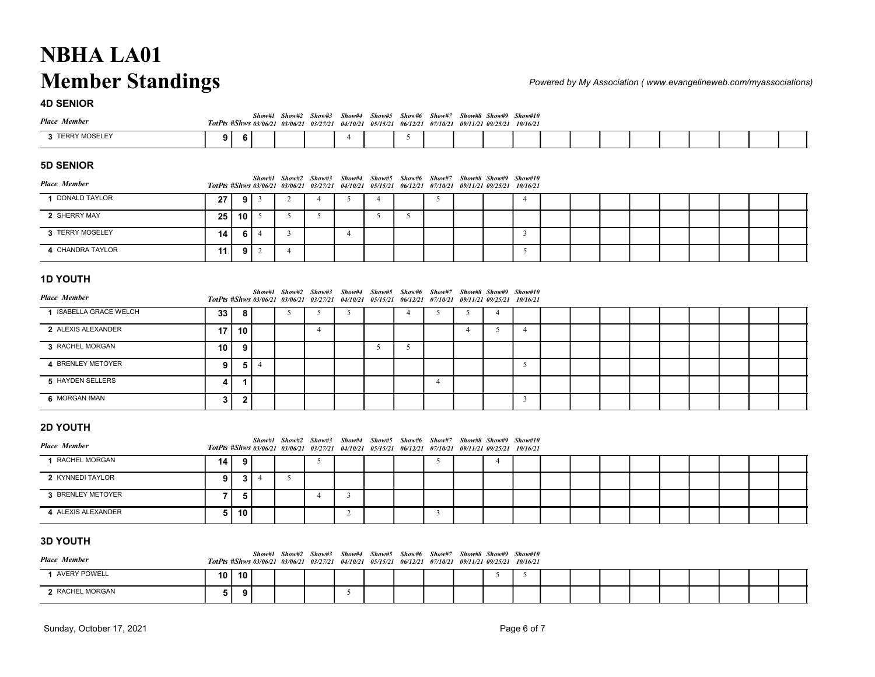| <b>NBHA LA01</b>        |                |   |   |                                                                 |                |                                                                                                                  |                |                                                                |               |                       |   |  |  |  |  |                                                                 |
|-------------------------|----------------|---|---|-----------------------------------------------------------------|----------------|------------------------------------------------------------------------------------------------------------------|----------------|----------------------------------------------------------------|---------------|-----------------------|---|--|--|--|--|-----------------------------------------------------------------|
| <b>Member Standings</b> |                |   |   |                                                                 |                |                                                                                                                  |                |                                                                |               |                       |   |  |  |  |  | Powered by My Association (www.evangelineweb.com/myassociations |
| <b>4D SENIOR</b>        |                |   |   |                                                                 |                |                                                                                                                  |                |                                                                |               |                       |   |  |  |  |  |                                                                 |
| <b>Place Member</b>     |                |   |   | Show#1 Show#2 Show#3<br>TotPts #Shws 03/06/21 03/06/21 03/27/21 |                | Show#4                                                                                                           | Show#5         | 04/10/21 05/15/21 06/12/21 07/10/21 09/11/21 09/25/21 10/16/21 | Show#6 Show#7 | Show#8 Show#9 Show#10 |   |  |  |  |  |                                                                 |
| 3 TERRY MOSELEY         | 9 <sup>1</sup> | 6 |   |                                                                 |                | $\overline{4}$                                                                                                   |                | 5                                                              |               |                       |   |  |  |  |  |                                                                 |
| 5D SENIOR               |                |   |   |                                                                 |                |                                                                                                                  |                |                                                                |               |                       |   |  |  |  |  |                                                                 |
| <b>Place Member</b>     |                |   |   | Show#1 Show#2                                                   | Show#3         | Show#4<br>TotPts #Shws 03/06/21 03/06/21 03/27/21 04/10/21 05/15/21 06/12/21 07/10/21 09/11/21 09/25/21 10/16/21 |                | Show#5 Show#6 Show#7                                           |               | Show#8 Show#9 Show#10 |   |  |  |  |  |                                                                 |
| 1 DONALD TAYLOR         | 27             | 9 | 3 | 2                                                               | $\overline{4}$ | 5                                                                                                                | $\overline{4}$ |                                                                | 5             |                       | 4 |  |  |  |  |                                                                 |

| <b>NBHA LA01</b>        |    |                 |                |                |                                                                 |                                                                                                                  |                                                                          |                                            |        |  |                                                     |  |  |  |                                                                  |  |
|-------------------------|----|-----------------|----------------|----------------|-----------------------------------------------------------------|------------------------------------------------------------------------------------------------------------------|--------------------------------------------------------------------------|--------------------------------------------|--------|--|-----------------------------------------------------|--|--|--|------------------------------------------------------------------|--|
| <b>Member Standings</b> |    |                 |                |                |                                                                 |                                                                                                                  |                                                                          |                                            |        |  |                                                     |  |  |  | Powered by My Association (www.evangelineweb.com/myassociations) |  |
| <b>4D SENIOR</b>        |    |                 |                |                |                                                                 |                                                                                                                  |                                                                          |                                            |        |  |                                                     |  |  |  |                                                                  |  |
| <b>Place Member</b>     |    |                 |                |                | Show#1 Show#2 Show#3<br>TotPts #Shws 03/06/21 03/06/21 03/27/21 | Show#4                                                                                                           | 04/10/21 05/15/21 06/12/21 07/10/21                                      | Show#5 Show#6                              | Show#7 |  | Show#8 Show#9 Show#10<br>09/11/21 09/25/21 10/16/21 |  |  |  |                                                                  |  |
| 3 TERRY MOSELEY         | 9  | 6               |                |                |                                                                 | 4                                                                                                                |                                                                          | 5                                          |        |  |                                                     |  |  |  |                                                                  |  |
| <b>5D SENIOR</b>        |    |                 |                |                |                                                                 |                                                                                                                  |                                                                          |                                            |        |  |                                                     |  |  |  |                                                                  |  |
| <b>Place Member</b>     |    |                 | Show#1         | Show#2         | Show#3<br>TotPts #Shws 03/06/21 03/06/21 03/27/21               | Show#4                                                                                                           | Show#5<br>04/10/21 05/15/21 06/12/21 07/10/21 09/11/21 09/25/21 10/16/21 | Show#6                                     | Show#7 |  | Show#8 Show#9 Show#10                               |  |  |  |                                                                  |  |
| 1 DONALD TAYLOR         | 27 | 9               | 3              | 2              | $\overline{4}$                                                  | 5                                                                                                                | $\overline{4}$                                                           |                                            | 5      |  | $\overline{4}$                                      |  |  |  |                                                                  |  |
| 2 SHERRY MAY            | 25 | 10 <sup>1</sup> | 5              | 5              | 5                                                               |                                                                                                                  | 5                                                                        | 5                                          |        |  |                                                     |  |  |  |                                                                  |  |
| 3 TERRY MOSELEY         | 14 | 6 <sup>1</sup>  | $\overline{4}$ | $\overline{3}$ |                                                                 | $\overline{4}$                                                                                                   |                                                                          |                                            |        |  | 3                                                   |  |  |  |                                                                  |  |
|                         |    | 9 I             | 2              | $\overline{4}$ |                                                                 |                                                                                                                  |                                                                          |                                            |        |  | 5                                                   |  |  |  |                                                                  |  |
| 4 CHANDRA TAYLOR        | 11 |                 |                |                |                                                                 |                                                                                                                  |                                                                          |                                            |        |  |                                                     |  |  |  |                                                                  |  |
| <b>1D YOUTH</b>         |    |                 |                |                |                                                                 |                                                                                                                  |                                                                          |                                            |        |  |                                                     |  |  |  |                                                                  |  |
| <b>Place Member</b>     |    |                 |                |                | Show#1 Show#2 Show#3                                            | Show#4<br>TotPts #Shws 03/06/21 03/06/21 03/27/21 04/10/21 05/15/21 06/12/21 07/10/21 09/11/21 09/25/21 10/16/21 |                                                                          | Show#5 Show#6 Show#7 Show#8 Show#9 Show#10 |        |  |                                                     |  |  |  |                                                                  |  |

| <b>Member Standings</b> |    |                 |                         |                |                                                                 |                         |                            |                |                                                                                                                                                                                  |                |                |                                     |  |  |  | Powered by My Association (www.evangelineweb.com/myassociations) |  |
|-------------------------|----|-----------------|-------------------------|----------------|-----------------------------------------------------------------|-------------------------|----------------------------|----------------|----------------------------------------------------------------------------------------------------------------------------------------------------------------------------------|----------------|----------------|-------------------------------------|--|--|--|------------------------------------------------------------------|--|
| <b>4D SENIOR</b>        |    |                 |                         |                |                                                                 |                         |                            |                |                                                                                                                                                                                  |                |                |                                     |  |  |  |                                                                  |  |
| <b>Place Member</b>     |    |                 |                         |                |                                                                 |                         |                            |                | Show#1 Show#2 Show#3 Show#4 Show#5 Show#6 Show#7 Show#8 Show#9 Show#10<br>TotPts #Shws 03/06/21 03/06/21 03/27/21 04/10/21 05/15/21 06/12/21 07/10/21 09/11/21 09/25/21 10/16/21 |                |                |                                     |  |  |  |                                                                  |  |
| 3 TERRY MOSELEY         | 9  | 6               |                         |                |                                                                 | $\overline{4}$          |                            | 5              |                                                                                                                                                                                  |                |                |                                     |  |  |  |                                                                  |  |
| <b>5D SENIOR</b>        |    |                 |                         |                |                                                                 |                         |                            |                |                                                                                                                                                                                  |                |                |                                     |  |  |  |                                                                  |  |
| <b>Place Member</b>     |    |                 |                         |                | Show#1 Show#2 Show#3<br>TotPts #Shws 03/06/21 03/06/21 03/27/21 |                         |                            |                | Show#4 Show#5 Show#6 Show#7 Show#8 Show#9 Show#10<br>04/10/21 05/15/21 06/12/21 07/10/21 09/11/21 09/25/21 10/16/21                                                              |                |                |                                     |  |  |  |                                                                  |  |
| 1 DONALD TAYLOR         | 27 | 9 <sub>1</sub>  | $\overline{\mathbf{3}}$ | $\overline{2}$ | $\overline{4}$                                                  | 5                       | $\overline{4}$             |                | 5                                                                                                                                                                                |                |                | $\overline{4}$                      |  |  |  |                                                                  |  |
| 2 SHERRY MAY            | 25 | 10 <sup>1</sup> | $\overline{5}$          | 5              | 5                                                               |                         | 5                          | 5              |                                                                                                                                                                                  |                |                |                                     |  |  |  |                                                                  |  |
| 3 TERRY MOSELEY         | 14 | 6 I             | $\overline{4}$          | $\overline{3}$ |                                                                 | $\overline{4}$          |                            |                |                                                                                                                                                                                  |                |                | $\overline{3}$                      |  |  |  |                                                                  |  |
| 4 CHANDRA TAYLOR        | 11 | 9               | 2                       | $\overline{4}$ |                                                                 |                         |                            |                |                                                                                                                                                                                  |                |                | 5                                   |  |  |  |                                                                  |  |
| <b>1D YOUTH</b>         |    |                 |                         |                |                                                                 |                         |                            |                |                                                                                                                                                                                  |                |                |                                     |  |  |  |                                                                  |  |
| <b>Place Member</b>     |    |                 |                         |                | TotPts #Shws 03/06/21 03/06/21 03/27/21                         |                         | 04/10/21 05/15/21 06/12/21 |                | Show#1 Show#2 Show#3 Show#4 Show#5 Show#6 Show#7 Show#8 Show#9 Show#10                                                                                                           |                |                | 07/10/21 09/11/21 09/25/21 10/16/21 |  |  |  |                                                                  |  |
| 1 ISABELLA GRACE WELCH  | 33 | 8               |                         | 5              | 5                                                               | 5                       |                            | $\overline{4}$ | 5                                                                                                                                                                                | 5              | $\overline{4}$ |                                     |  |  |  |                                                                  |  |
| 2 ALEXIS ALEXANDER      | 17 | 10              |                         |                | $\overline{4}$                                                  |                         |                            |                |                                                                                                                                                                                  | $\overline{4}$ | 5              | $\overline{4}$                      |  |  |  |                                                                  |  |
| 3 RACHEL MORGAN         | 10 | 9               |                         |                |                                                                 |                         | 5                          | 5              |                                                                                                                                                                                  |                |                |                                     |  |  |  |                                                                  |  |
| 4 BRENLEY METOYER       | 9  | 5               | $\overline{4}$          |                |                                                                 |                         |                            |                |                                                                                                                                                                                  |                |                | 5                                   |  |  |  |                                                                  |  |
| 5 HAYDEN SELLERS        | 4  | $\mathbf 1$     |                         |                |                                                                 |                         |                            |                | $\overline{4}$                                                                                                                                                                   |                |                |                                     |  |  |  |                                                                  |  |
| 6 MORGAN IMAN           | 3  | $\mathbf{2}$    |                         |                |                                                                 |                         |                            |                |                                                                                                                                                                                  |                |                | $\mathbf{3}$                        |  |  |  |                                                                  |  |
| <b>2D YOUTH</b>         |    |                 |                         |                |                                                                 |                         |                            |                |                                                                                                                                                                                  |                |                |                                     |  |  |  |                                                                  |  |
| <b>Place Member</b>     |    |                 |                         |                | TotPts #Shws 03/06/21 03/06/21 03/27/21                         |                         |                            |                | Show#1 Show#2 Show#3 Show#4 Show#5 Show#6 Show#7 Show#8 Show#9 Show#10<br>04/10/21 05/15/21 06/12/21 07/10/21 09/11/21 09/25/21 10/16/21                                         |                |                |                                     |  |  |  |                                                                  |  |
| 1 RACHEL MORGAN         | 14 | 9               |                         |                | 5                                                               |                         |                            |                | 5                                                                                                                                                                                |                | $\overline{4}$ |                                     |  |  |  |                                                                  |  |
| 2 KYNNEDI TAYLOR        | 9  | 3               | $\overline{4}$          | 5              |                                                                 |                         |                            |                |                                                                                                                                                                                  |                |                |                                     |  |  |  |                                                                  |  |
| 3 BRENLEY METOYER       | 7  | 5               |                         |                | $\overline{4}$                                                  | $\overline{\mathbf{3}}$ |                            |                |                                                                                                                                                                                  |                |                |                                     |  |  |  |                                                                  |  |
| 4 ALEXIS ALEXANDER      | 5  | 10              |                         |                |                                                                 | 2                       |                            |                | 3                                                                                                                                                                                |                |                |                                     |  |  |  |                                                                  |  |
| <b>3D YOUTH</b>         |    |                 |                         |                |                                                                 |                         |                            |                |                                                                                                                                                                                  |                |                |                                     |  |  |  |                                                                  |  |
| <b>Place Member</b>     |    |                 |                         |                |                                                                 |                         |                            |                | Show#1 Show#2 Show#3 Show#4 Show#5 Show#6 Show#7 Show#8 Show#9 Show#10                                                                                                           |                |                |                                     |  |  |  |                                                                  |  |
| 1 AVERY POWELL          | 10 | 10              |                         |                |                                                                 |                         |                            |                | TotPts #Shws 03/06/21 03/06/21 03/27/21 04/10/21 05/15/21 06/12/21 07/10/21 09/11/21 09/25/21 10/16/21                                                                           |                | 5              | 5                                   |  |  |  |                                                                  |  |
| 2 RACHEL MORGAN         |    |                 |                         |                |                                                                 | $5\overline{)}$         |                            |                |                                                                                                                                                                                  |                |                |                                     |  |  |  |                                                                  |  |
|                         | 5  | 9               |                         |                |                                                                 |                         |                            |                |                                                                                                                                                                                  |                |                |                                     |  |  |  |                                                                  |  |

| 3 RACHEL MORGAN                        | 10             | 9              |                |                |                |                | 5 | 5                                                                                                                                                                                |                |                |                |  |  |  |  |  |
|----------------------------------------|----------------|----------------|----------------|----------------|----------------|----------------|---|----------------------------------------------------------------------------------------------------------------------------------------------------------------------------------|----------------|----------------|----------------|--|--|--|--|--|
| 4 BRENLEY METOYER                      | -9 I           |                | 514            |                |                |                |   |                                                                                                                                                                                  |                |                | 5              |  |  |  |  |  |
| 5 HAYDEN SELLERS                       | 4              | -1             |                |                |                |                |   |                                                                                                                                                                                  | $\overline{4}$ |                |                |  |  |  |  |  |
| 6 MORGAN IMAN                          | 3              | 2 <sub>1</sub> |                |                |                |                |   |                                                                                                                                                                                  |                |                | $\overline{3}$ |  |  |  |  |  |
| <b>2D YOUTH</b>                        |                |                |                |                |                |                |   |                                                                                                                                                                                  |                |                |                |  |  |  |  |  |
| <b>Place Member</b>                    |                |                |                |                |                |                |   | Show#1 Show#2 Show#3 Show#4 Show#5 Show#6 Show#7 Show#8 Show#9 Show#10<br>TotPts #Shws 03/06/21 03/06/21 03/27/21 04/10/21 05/15/21 06/12/21 07/10/21 09/11/21 09/25/21 10/16/21 |                |                |                |  |  |  |  |  |
| 1 RACHEL MORGAN                        | 14 I           | 9 <sup>1</sup> |                |                | 5              |                |   |                                                                                                                                                                                  | 5              | $\overline{4}$ |                |  |  |  |  |  |
| 2 KYNNEDI TAYLOR                       | 9 <sup>1</sup> | 3 <sup>1</sup> | $\overline{4}$ | 5 <sup>5</sup> |                |                |   |                                                                                                                                                                                  |                |                |                |  |  |  |  |  |
| 3 BRENLEY METOYER                      | 7 I            | 5 <sub>1</sub> |                |                | $\overline{4}$ | $\overline{3}$ |   |                                                                                                                                                                                  |                |                |                |  |  |  |  |  |
| 4 ALEXIS ALEXANDER                     |                | 5 10           |                |                |                | 2              |   |                                                                                                                                                                                  | $\overline{3}$ |                |                |  |  |  |  |  |
| <b>3D YOUTH</b><br><b>Place Member</b> |                |                |                |                |                |                |   | Show#1 Show#2 Show#3 Show#4 Show#5 Show#6 Show#7 Show#8 Show#9 Show#10<br>TotPts #Shws 03/06/21 03/06/21 03/27/21 04/10/21 05/15/21 06/12/21 07/10/21 09/11/21 09/25/21 10/16/21 |                |                |                |  |  |  |  |  |
| 1 AVERY POWELL                         | $10$   10      |                |                |                |                |                |   |                                                                                                                                                                                  |                | 5              | 5              |  |  |  |  |  |
| 2 RACHEL MORGAN                        | 5 <sup>1</sup> | 9              |                |                |                | 5              |   |                                                                                                                                                                                  |                |                |                |  |  |  |  |  |
| Sunday, October 17, 2021               |                |                |                |                |                |                |   |                                                                                                                                                                                  |                |                | Page 6 of 7    |  |  |  |  |  |

| <b>3D YOUTH</b>     |    |         |  |                                                                                                                                                                                  |  |  |  |  |  |  |  |  |
|---------------------|----|---------|--|----------------------------------------------------------------------------------------------------------------------------------------------------------------------------------|--|--|--|--|--|--|--|--|
| <b>Place Member</b> |    |         |  | Show#1 Show#2 Show#3 Show#4 Show#5 Show#6 Show#7 Show#8 Show#9 Show#10<br>TotPts #Shws 03/06/21 03/06/21 03/27/21 04/10/21 05/15/21 06/12/21 07/10/21 09/11/21 09/25/21 10/16/21 |  |  |  |  |  |  |  |  |
| <b>AVERY POWELL</b> |    | 10 10 I |  |                                                                                                                                                                                  |  |  |  |  |  |  |  |  |
| 2 RACHEL MORGAN     | 5. |         |  |                                                                                                                                                                                  |  |  |  |  |  |  |  |  |